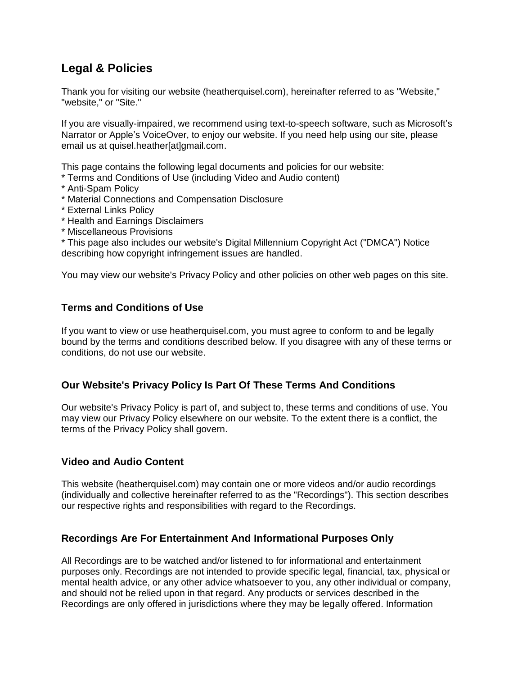# **Legal & Policies**

Thank you for visiting our website (heatherquisel.com), hereinafter referred to as "Website," "website," or "Site."

If you are visually-impaired, we recommend using text-to-speech software, such as Microsoft's Narrator or Apple's VoiceOver, to enjoy our website. If you need help using our site, please email us at quisel.heather[at]gmail.com.

This page contains the following legal documents and policies for our website:

- \* Terms and Conditions of Use (including Video and Audio content)
- \* Anti-Spam Policy
- \* Material Connections and Compensation Disclosure
- \* External Links Policy
- \* Health and Earnings Disclaimers
- \* Miscellaneous Provisions
- \* This page also includes our website's Digital Millennium Copyright Act ("DMCA") Notice describing how copyright infringement issues are handled.

You may view our website's Privacy Policy and other policies on other web pages on this site.

# **Terms and Conditions of Use**

If you want to view or use heatherquisel.com, you must agree to conform to and be legally bound by the terms and conditions described below. If you disagree with any of these terms or conditions, do not use our website.

# **Our Website's Privacy Policy Is Part Of These Terms And Conditions**

Our website's Privacy Policy is part of, and subject to, these terms and conditions of use. You may view our Privacy Policy elsewhere on our website. To the extent there is a conflict, the terms of the Privacy Policy shall govern.

# **Video and Audio Content**

This website (heatherquisel.com) may contain one or more videos and/or audio recordings (individually and collective hereinafter referred to as the "Recordings"). This section describes our respective rights and responsibilities with regard to the Recordings.

# **Recordings Are For Entertainment And Informational Purposes Only**

All Recordings are to be watched and/or listened to for informational and entertainment purposes only. Recordings are not intended to provide specific legal, financial, tax, physical or mental health advice, or any other advice whatsoever to you, any other individual or company, and should not be relied upon in that regard. Any products or services described in the Recordings are only offered in jurisdictions where they may be legally offered. Information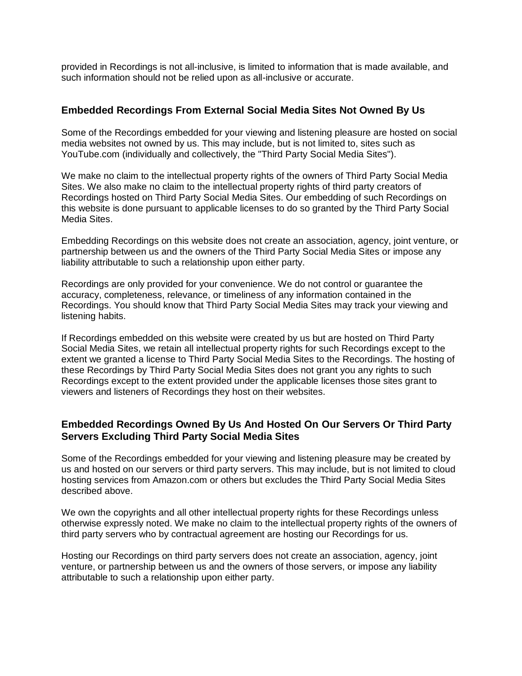provided in Recordings is not all-inclusive, is limited to information that is made available, and such information should not be relied upon as all-inclusive or accurate.

#### **Embedded Recordings From External Social Media Sites Not Owned By Us**

Some of the Recordings embedded for your viewing and listening pleasure are hosted on social media websites not owned by us. This may include, but is not limited to, sites such as YouTube.com (individually and collectively, the "Third Party Social Media Sites").

We make no claim to the intellectual property rights of the owners of Third Party Social Media Sites. We also make no claim to the intellectual property rights of third party creators of Recordings hosted on Third Party Social Media Sites. Our embedding of such Recordings on this website is done pursuant to applicable licenses to do so granted by the Third Party Social Media Sites.

Embedding Recordings on this website does not create an association, agency, joint venture, or partnership between us and the owners of the Third Party Social Media Sites or impose any liability attributable to such a relationship upon either party.

Recordings are only provided for your convenience. We do not control or guarantee the accuracy, completeness, relevance, or timeliness of any information contained in the Recordings. You should know that Third Party Social Media Sites may track your viewing and listening habits.

If Recordings embedded on this website were created by us but are hosted on Third Party Social Media Sites, we retain all intellectual property rights for such Recordings except to the extent we granted a license to Third Party Social Media Sites to the Recordings. The hosting of these Recordings by Third Party Social Media Sites does not grant you any rights to such Recordings except to the extent provided under the applicable licenses those sites grant to viewers and listeners of Recordings they host on their websites.

### **Embedded Recordings Owned By Us And Hosted On Our Servers Or Third Party Servers Excluding Third Party Social Media Sites**

Some of the Recordings embedded for your viewing and listening pleasure may be created by us and hosted on our servers or third party servers. This may include, but is not limited to cloud hosting services from Amazon.com or others but excludes the Third Party Social Media Sites described above.

We own the copyrights and all other intellectual property rights for these Recordings unless otherwise expressly noted. We make no claim to the intellectual property rights of the owners of third party servers who by contractual agreement are hosting our Recordings for us.

Hosting our Recordings on third party servers does not create an association, agency, joint venture, or partnership between us and the owners of those servers, or impose any liability attributable to such a relationship upon either party.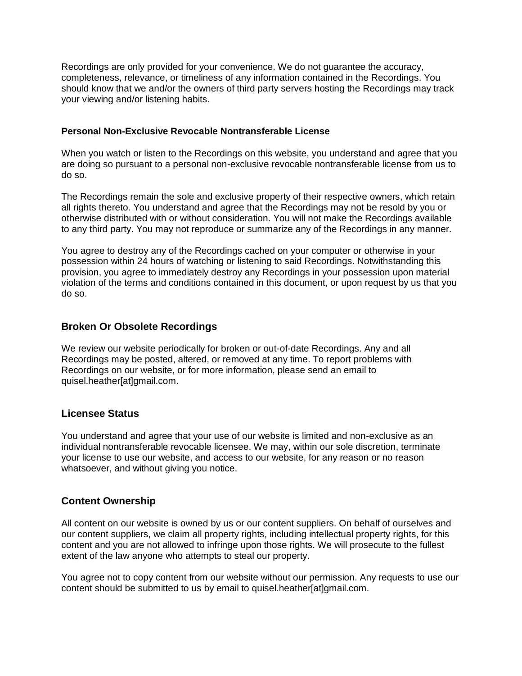Recordings are only provided for your convenience. We do not guarantee the accuracy, completeness, relevance, or timeliness of any information contained in the Recordings. You should know that we and/or the owners of third party servers hosting the Recordings may track your viewing and/or listening habits.

#### **Personal Non-Exclusive Revocable Nontransferable License**

When you watch or listen to the Recordings on this website, you understand and agree that you are doing so pursuant to a personal non-exclusive revocable nontransferable license from us to do so.

The Recordings remain the sole and exclusive property of their respective owners, which retain all rights thereto. You understand and agree that the Recordings may not be resold by you or otherwise distributed with or without consideration. You will not make the Recordings available to any third party. You may not reproduce or summarize any of the Recordings in any manner.

You agree to destroy any of the Recordings cached on your computer or otherwise in your possession within 24 hours of watching or listening to said Recordings. Notwithstanding this provision, you agree to immediately destroy any Recordings in your possession upon material violation of the terms and conditions contained in this document, or upon request by us that you do so.

# **Broken Or Obsolete Recordings**

We review our website periodically for broken or out-of-date Recordings. Any and all Recordings may be posted, altered, or removed at any time. To report problems with Recordings on our website, or for more information, please send an email to quisel.heather[at]gmail.com.

#### **Licensee Status**

You understand and agree that your use of our website is limited and non-exclusive as an individual nontransferable revocable licensee. We may, within our sole discretion, terminate your license to use our website, and access to our website, for any reason or no reason whatsoever, and without giving you notice.

# **Content Ownership**

All content on our website is owned by us or our content suppliers. On behalf of ourselves and our content suppliers, we claim all property rights, including intellectual property rights, for this content and you are not allowed to infringe upon those rights. We will prosecute to the fullest extent of the law anyone who attempts to steal our property.

You agree not to copy content from our website without our permission. Any requests to use our content should be submitted to us by email to quisel.heather[at]gmail.com.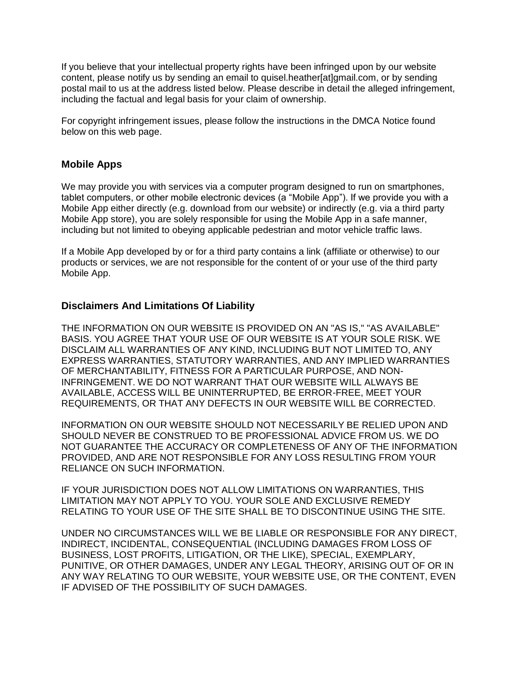If you believe that your intellectual property rights have been infringed upon by our website content, please notify us by sending an email to quisel.heather[at]gmail.com, or by sending postal mail to us at the address listed below. Please describe in detail the alleged infringement, including the factual and legal basis for your claim of ownership.

For copyright infringement issues, please follow the instructions in the DMCA Notice found below on this web page.

### **Mobile Apps**

We may provide you with services via a computer program designed to run on smartphones, tablet computers, or other mobile electronic devices (a "Mobile App"). If we provide you with a Mobile App either directly (e.g. download from our website) or indirectly (e.g. via a third party Mobile App store), you are solely responsible for using the Mobile App in a safe manner, including but not limited to obeying applicable pedestrian and motor vehicle traffic laws.

If a Mobile App developed by or for a third party contains a link (affiliate or otherwise) to our products or services, we are not responsible for the content of or your use of the third party Mobile App.

#### **Disclaimers And Limitations Of Liability**

THE INFORMATION ON OUR WEBSITE IS PROVIDED ON AN "AS IS," "AS AVAILABLE" BASIS. YOU AGREE THAT YOUR USE OF OUR WEBSITE IS AT YOUR SOLE RISK. WE DISCLAIM ALL WARRANTIES OF ANY KIND, INCLUDING BUT NOT LIMITED TO, ANY EXPRESS WARRANTIES, STATUTORY WARRANTIES, AND ANY IMPLIED WARRANTIES OF MERCHANTABILITY, FITNESS FOR A PARTICULAR PURPOSE, AND NON-INFRINGEMENT. WE DO NOT WARRANT THAT OUR WEBSITE WILL ALWAYS BE AVAILABLE, ACCESS WILL BE UNINTERRUPTED, BE ERROR-FREE, MEET YOUR REQUIREMENTS, OR THAT ANY DEFECTS IN OUR WEBSITE WILL BE CORRECTED.

INFORMATION ON OUR WEBSITE SHOULD NOT NECESSARILY BE RELIED UPON AND SHOULD NEVER BE CONSTRUED TO BE PROFESSIONAL ADVICE FROM US. WE DO NOT GUARANTEE THE ACCURACY OR COMPLETENESS OF ANY OF THE INFORMATION PROVIDED, AND ARE NOT RESPONSIBLE FOR ANY LOSS RESULTING FROM YOUR RELIANCE ON SUCH INFORMATION.

IF YOUR JURISDICTION DOES NOT ALLOW LIMITATIONS ON WARRANTIES, THIS LIMITATION MAY NOT APPLY TO YOU. YOUR SOLE AND EXCLUSIVE REMEDY RELATING TO YOUR USE OF THE SITE SHALL BE TO DISCONTINUE USING THE SITE.

UNDER NO CIRCUMSTANCES WILL WE BE LIABLE OR RESPONSIBLE FOR ANY DIRECT, INDIRECT, INCIDENTAL, CONSEQUENTIAL (INCLUDING DAMAGES FROM LOSS OF BUSINESS, LOST PROFITS, LITIGATION, OR THE LIKE), SPECIAL, EXEMPLARY, PUNITIVE, OR OTHER DAMAGES, UNDER ANY LEGAL THEORY, ARISING OUT OF OR IN ANY WAY RELATING TO OUR WEBSITE, YOUR WEBSITE USE, OR THE CONTENT, EVEN IF ADVISED OF THE POSSIBILITY OF SUCH DAMAGES.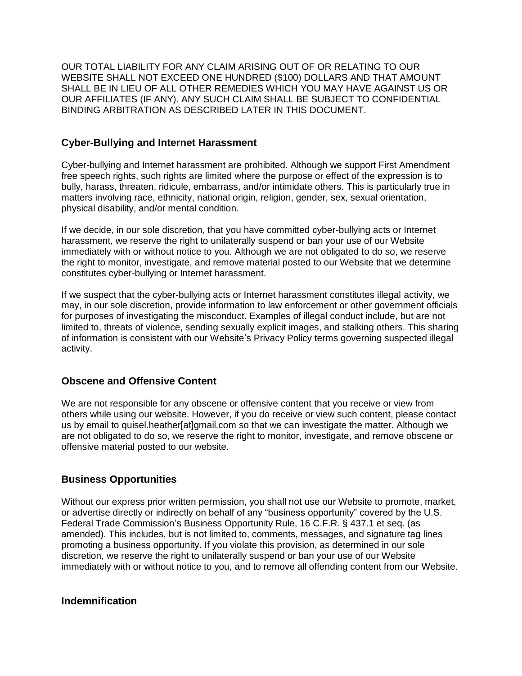OUR TOTAL LIABILITY FOR ANY CLAIM ARISING OUT OF OR RELATING TO OUR WEBSITE SHALL NOT EXCEED ONE HUNDRED (\$100) DOLLARS AND THAT AMOUNT SHALL BE IN LIEU OF ALL OTHER REMEDIES WHICH YOU MAY HAVE AGAINST US OR OUR AFFILIATES (IF ANY). ANY SUCH CLAIM SHALL BE SUBJECT TO CONFIDENTIAL BINDING ARBITRATION AS DESCRIBED LATER IN THIS DOCUMENT.

### **Cyber-Bullying and Internet Harassment**

Cyber-bullying and Internet harassment are prohibited. Although we support First Amendment free speech rights, such rights are limited where the purpose or effect of the expression is to bully, harass, threaten, ridicule, embarrass, and/or intimidate others. This is particularly true in matters involving race, ethnicity, national origin, religion, gender, sex, sexual orientation, physical disability, and/or mental condition.

If we decide, in our sole discretion, that you have committed cyber-bullying acts or Internet harassment, we reserve the right to unilaterally suspend or ban your use of our Website immediately with or without notice to you. Although we are not obligated to do so, we reserve the right to monitor, investigate, and remove material posted to our Website that we determine constitutes cyber-bullying or Internet harassment.

If we suspect that the cyber-bullying acts or Internet harassment constitutes illegal activity, we may, in our sole discretion, provide information to law enforcement or other government officials for purposes of investigating the misconduct. Examples of illegal conduct include, but are not limited to, threats of violence, sending sexually explicit images, and stalking others. This sharing of information is consistent with our Website's Privacy Policy terms governing suspected illegal activity.

#### **Obscene and Offensive Content**

We are not responsible for any obscene or offensive content that you receive or view from others while using our website. However, if you do receive or view such content, please contact us by email to quisel.heather[at]gmail.com so that we can investigate the matter. Although we are not obligated to do so, we reserve the right to monitor, investigate, and remove obscene or offensive material posted to our website.

#### **Business Opportunities**

Without our express prior written permission, you shall not use our Website to promote, market, or advertise directly or indirectly on behalf of any "business opportunity" covered by the U.S. Federal Trade Commission's Business Opportunity Rule, 16 C.F.R. § 437.1 et seq. (as amended). This includes, but is not limited to, comments, messages, and signature tag lines promoting a business opportunity. If you violate this provision, as determined in our sole discretion, we reserve the right to unilaterally suspend or ban your use of our Website immediately with or without notice to you, and to remove all offending content from our Website.

### **Indemnification**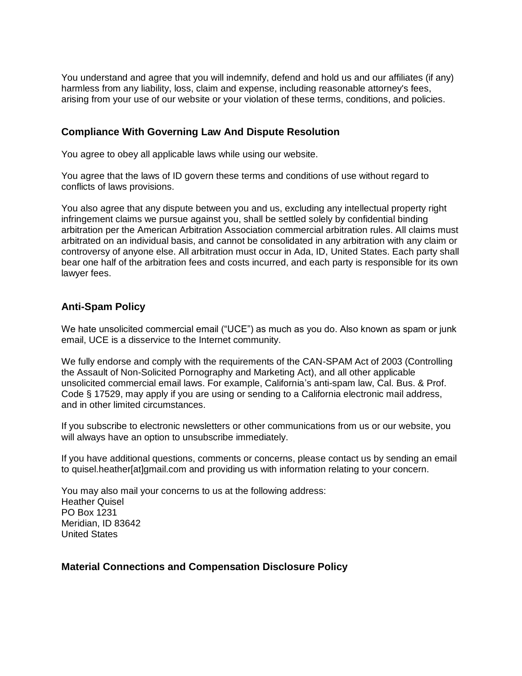You understand and agree that you will indemnify, defend and hold us and our affiliates (if any) harmless from any liability, loss, claim and expense, including reasonable attorney's fees, arising from your use of our website or your violation of these terms, conditions, and policies.

### **Compliance With Governing Law And Dispute Resolution**

You agree to obey all applicable laws while using our website.

You agree that the laws of ID govern these terms and conditions of use without regard to conflicts of laws provisions.

You also agree that any dispute between you and us, excluding any intellectual property right infringement claims we pursue against you, shall be settled solely by confidential binding arbitration per the American Arbitration Association commercial arbitration rules. All claims must arbitrated on an individual basis, and cannot be consolidated in any arbitration with any claim or controversy of anyone else. All arbitration must occur in Ada, ID, United States. Each party shall bear one half of the arbitration fees and costs incurred, and each party is responsible for its own lawyer fees.

### **Anti-Spam Policy**

We hate unsolicited commercial email ("UCE") as much as you do. Also known as spam or junk email, UCE is a disservice to the Internet community.

We fully endorse and comply with the requirements of the CAN-SPAM Act of 2003 (Controlling the Assault of Non-Solicited Pornography and Marketing Act), and all other applicable unsolicited commercial email laws. For example, California's anti-spam law, Cal. Bus. & Prof. Code § 17529, may apply if you are using or sending to a California electronic mail address, and in other limited circumstances.

If you subscribe to electronic newsletters or other communications from us or our website, you will always have an option to unsubscribe immediately.

If you have additional questions, comments or concerns, please contact us by sending an email to quisel.heather[at]gmail.com and providing us with information relating to your concern.

You may also mail your concerns to us at the following address: Heather Quisel PO Box 1231 Meridian, ID 83642 United States

#### **Material Connections and Compensation Disclosure Policy**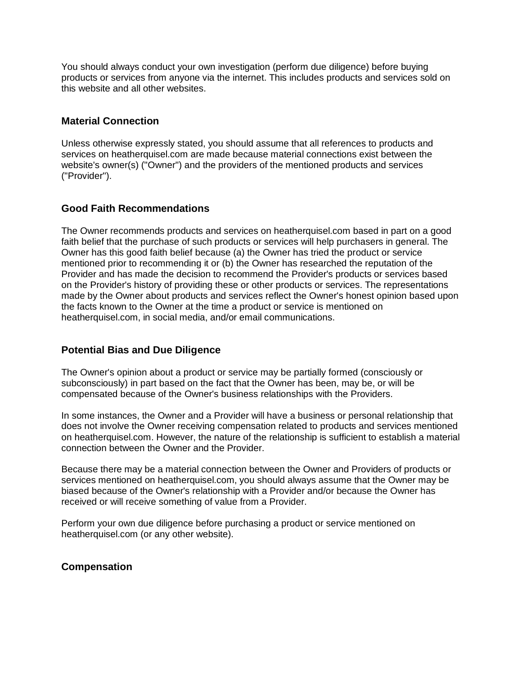You should always conduct your own investigation (perform due diligence) before buying products or services from anyone via the internet. This includes products and services sold on this website and all other websites.

### **Material Connection**

Unless otherwise expressly stated, you should assume that all references to products and services on heatherquisel.com are made because material connections exist between the website's owner(s) ("Owner") and the providers of the mentioned products and services ("Provider").

# **Good Faith Recommendations**

The Owner recommends products and services on heatherquisel.com based in part on a good faith belief that the purchase of such products or services will help purchasers in general. The Owner has this good faith belief because (a) the Owner has tried the product or service mentioned prior to recommending it or (b) the Owner has researched the reputation of the Provider and has made the decision to recommend the Provider's products or services based on the Provider's history of providing these or other products or services. The representations made by the Owner about products and services reflect the Owner's honest opinion based upon the facts known to the Owner at the time a product or service is mentioned on heatherquisel.com, in social media, and/or email communications.

# **Potential Bias and Due Diligence**

The Owner's opinion about a product or service may be partially formed (consciously or subconsciously) in part based on the fact that the Owner has been, may be, or will be compensated because of the Owner's business relationships with the Providers.

In some instances, the Owner and a Provider will have a business or personal relationship that does not involve the Owner receiving compensation related to products and services mentioned on heatherquisel.com. However, the nature of the relationship is sufficient to establish a material connection between the Owner and the Provider.

Because there may be a material connection between the Owner and Providers of products or services mentioned on heatherquisel.com, you should always assume that the Owner may be biased because of the Owner's relationship with a Provider and/or because the Owner has received or will receive something of value from a Provider.

Perform your own due diligence before purchasing a product or service mentioned on heatherquisel.com (or any other website).

# **Compensation**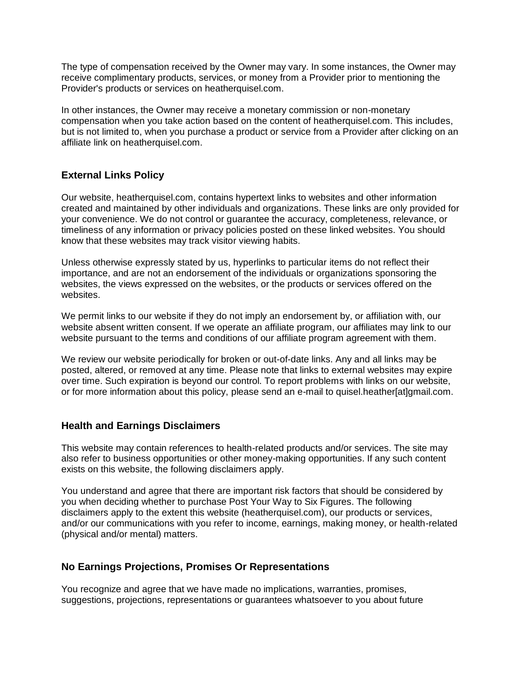The type of compensation received by the Owner may vary. In some instances, the Owner may receive complimentary products, services, or money from a Provider prior to mentioning the Provider's products or services on heatherquisel.com.

In other instances, the Owner may receive a monetary commission or non-monetary compensation when you take action based on the content of heatherquisel.com. This includes, but is not limited to, when you purchase a product or service from a Provider after clicking on an affiliate link on heatherquisel.com.

# **External Links Policy**

Our website, heatherquisel.com, contains hypertext links to websites and other information created and maintained by other individuals and organizations. These links are only provided for your convenience. We do not control or guarantee the accuracy, completeness, relevance, or timeliness of any information or privacy policies posted on these linked websites. You should know that these websites may track visitor viewing habits.

Unless otherwise expressly stated by us, hyperlinks to particular items do not reflect their importance, and are not an endorsement of the individuals or organizations sponsoring the websites, the views expressed on the websites, or the products or services offered on the websites.

We permit links to our website if they do not imply an endorsement by, or affiliation with, our website absent written consent. If we operate an affiliate program, our affiliates may link to our website pursuant to the terms and conditions of our affiliate program agreement with them.

We review our website periodically for broken or out-of-date links. Any and all links may be posted, altered, or removed at any time. Please note that links to external websites may expire over time. Such expiration is beyond our control. To report problems with links on our website, or for more information about this policy, please send an e-mail to quisel.heather[at]gmail.com.

# **Health and Earnings Disclaimers**

This website may contain references to health-related products and/or services. The site may also refer to business opportunities or other money-making opportunities. If any such content exists on this website, the following disclaimers apply.

You understand and agree that there are important risk factors that should be considered by you when deciding whether to purchase Post Your Way to Six Figures. The following disclaimers apply to the extent this website (heatherquisel.com), our products or services, and/or our communications with you refer to income, earnings, making money, or health-related (physical and/or mental) matters.

# **No Earnings Projections, Promises Or Representations**

You recognize and agree that we have made no implications, warranties, promises, suggestions, projections, representations or guarantees whatsoever to you about future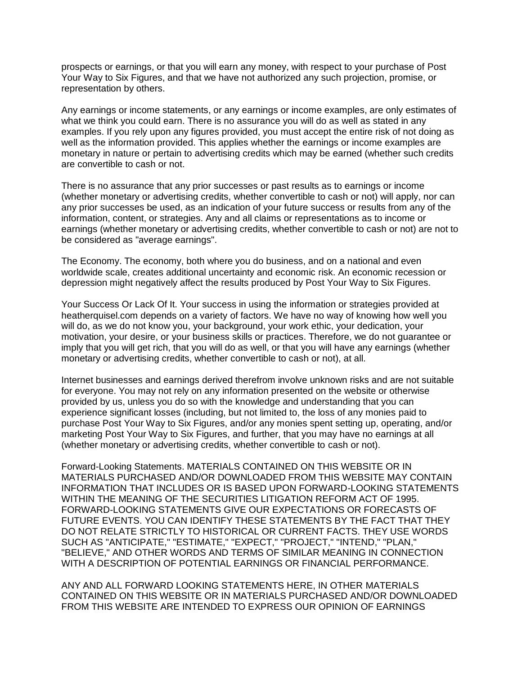prospects or earnings, or that you will earn any money, with respect to your purchase of Post Your Way to Six Figures, and that we have not authorized any such projection, promise, or representation by others.

Any earnings or income statements, or any earnings or income examples, are only estimates of what we think you could earn. There is no assurance you will do as well as stated in any examples. If you rely upon any figures provided, you must accept the entire risk of not doing as well as the information provided. This applies whether the earnings or income examples are monetary in nature or pertain to advertising credits which may be earned (whether such credits are convertible to cash or not.

There is no assurance that any prior successes or past results as to earnings or income (whether monetary or advertising credits, whether convertible to cash or not) will apply, nor can any prior successes be used, as an indication of your future success or results from any of the information, content, or strategies. Any and all claims or representations as to income or earnings (whether monetary or advertising credits, whether convertible to cash or not) are not to be considered as "average earnings".

The Economy. The economy, both where you do business, and on a national and even worldwide scale, creates additional uncertainty and economic risk. An economic recession or depression might negatively affect the results produced by Post Your Way to Six Figures.

Your Success Or Lack Of It. Your success in using the information or strategies provided at heatherquisel.com depends on a variety of factors. We have no way of knowing how well you will do, as we do not know you, your background, your work ethic, your dedication, your motivation, your desire, or your business skills or practices. Therefore, we do not guarantee or imply that you will get rich, that you will do as well, or that you will have any earnings (whether monetary or advertising credits, whether convertible to cash or not), at all.

Internet businesses and earnings derived therefrom involve unknown risks and are not suitable for everyone. You may not rely on any information presented on the website or otherwise provided by us, unless you do so with the knowledge and understanding that you can experience significant losses (including, but not limited to, the loss of any monies paid to purchase Post Your Way to Six Figures, and/or any monies spent setting up, operating, and/or marketing Post Your Way to Six Figures, and further, that you may have no earnings at all (whether monetary or advertising credits, whether convertible to cash or not).

Forward-Looking Statements. MATERIALS CONTAINED ON THIS WEBSITE OR IN MATERIALS PURCHASED AND/OR DOWNLOADED FROM THIS WEBSITE MAY CONTAIN INFORMATION THAT INCLUDES OR IS BASED UPON FORWARD-LOOKING STATEMENTS WITHIN THE MEANING OF THE SECURITIES LITIGATION REFORM ACT OF 1995. FORWARD-LOOKING STATEMENTS GIVE OUR EXPECTATIONS OR FORECASTS OF FUTURE EVENTS. YOU CAN IDENTIFY THESE STATEMENTS BY THE FACT THAT THEY DO NOT RELATE STRICTLY TO HISTORICAL OR CURRENT FACTS. THEY USE WORDS SUCH AS "ANTICIPATE," "ESTIMATE," "EXPECT," "PROJECT," "INTEND," "PLAN," "BELIEVE," AND OTHER WORDS AND TERMS OF SIMILAR MEANING IN CONNECTION WITH A DESCRIPTION OF POTENTIAL EARNINGS OR FINANCIAL PERFORMANCE.

ANY AND ALL FORWARD LOOKING STATEMENTS HERE, IN OTHER MATERIALS CONTAINED ON THIS WEBSITE OR IN MATERIALS PURCHASED AND/OR DOWNLOADED FROM THIS WEBSITE ARE INTENDED TO EXPRESS OUR OPINION OF EARNINGS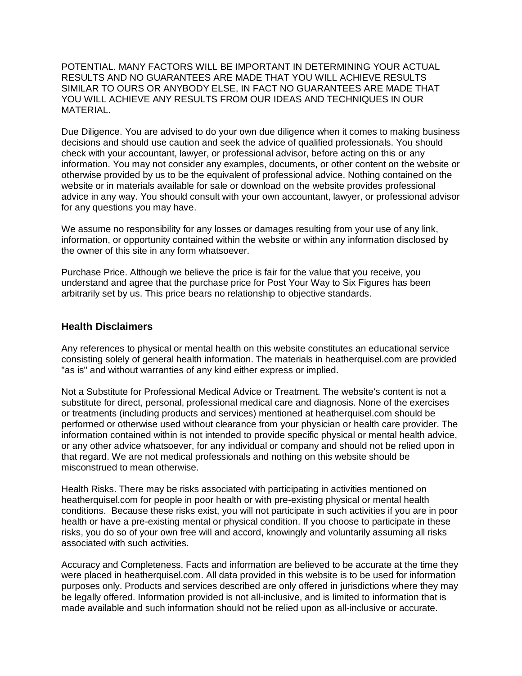POTENTIAL. MANY FACTORS WILL BE IMPORTANT IN DETERMINING YOUR ACTUAL RESULTS AND NO GUARANTEES ARE MADE THAT YOU WILL ACHIEVE RESULTS SIMILAR TO OURS OR ANYBODY ELSE, IN FACT NO GUARANTEES ARE MADE THAT YOU WILL ACHIEVE ANY RESULTS FROM OUR IDEAS AND TECHNIQUES IN OUR MATERIAL.

Due Diligence. You are advised to do your own due diligence when it comes to making business decisions and should use caution and seek the advice of qualified professionals. You should check with your accountant, lawyer, or professional advisor, before acting on this or any information. You may not consider any examples, documents, or other content on the website or otherwise provided by us to be the equivalent of professional advice. Nothing contained on the website or in materials available for sale or download on the website provides professional advice in any way. You should consult with your own accountant, lawyer, or professional advisor for any questions you may have.

We assume no responsibility for any losses or damages resulting from your use of any link, information, or opportunity contained within the website or within any information disclosed by the owner of this site in any form whatsoever.

Purchase Price. Although we believe the price is fair for the value that you receive, you understand and agree that the purchase price for Post Your Way to Six Figures has been arbitrarily set by us. This price bears no relationship to objective standards.

#### **Health Disclaimers**

Any references to physical or mental health on this website constitutes an educational service consisting solely of general health information. The materials in heatherquisel.com are provided "as is" and without warranties of any kind either express or implied.

Not a Substitute for Professional Medical Advice or Treatment. The website's content is not a substitute for direct, personal, professional medical care and diagnosis. None of the exercises or treatments (including products and services) mentioned at heatherquisel.com should be performed or otherwise used without clearance from your physician or health care provider. The information contained within is not intended to provide specific physical or mental health advice, or any other advice whatsoever, for any individual or company and should not be relied upon in that regard. We are not medical professionals and nothing on this website should be misconstrued to mean otherwise.

Health Risks. There may be risks associated with participating in activities mentioned on heatherquisel.com for people in poor health or with pre-existing physical or mental health conditions. Because these risks exist, you will not participate in such activities if you are in poor health or have a pre-existing mental or physical condition. If you choose to participate in these risks, you do so of your own free will and accord, knowingly and voluntarily assuming all risks associated with such activities.

Accuracy and Completeness. Facts and information are believed to be accurate at the time they were placed in heatherquisel.com. All data provided in this website is to be used for information purposes only. Products and services described are only offered in jurisdictions where they may be legally offered. Information provided is not all-inclusive, and is limited to information that is made available and such information should not be relied upon as all-inclusive or accurate.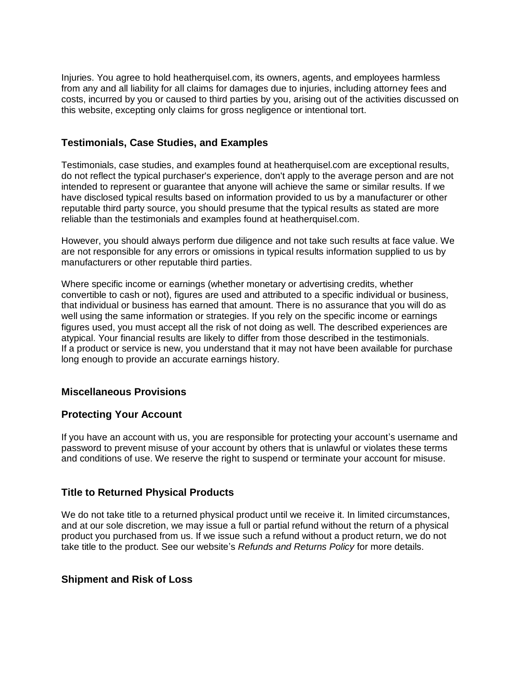Injuries. You agree to hold heatherquisel.com, its owners, agents, and employees harmless from any and all liability for all claims for damages due to injuries, including attorney fees and costs, incurred by you or caused to third parties by you, arising out of the activities discussed on this website, excepting only claims for gross negligence or intentional tort.

### **Testimonials, Case Studies, and Examples**

Testimonials, case studies, and examples found at heatherquisel.com are exceptional results, do not reflect the typical purchaser's experience, don't apply to the average person and are not intended to represent or guarantee that anyone will achieve the same or similar results. If we have disclosed typical results based on information provided to us by a manufacturer or other reputable third party source, you should presume that the typical results as stated are more reliable than the testimonials and examples found at heatherquisel.com.

However, you should always perform due diligence and not take such results at face value. We are not responsible for any errors or omissions in typical results information supplied to us by manufacturers or other reputable third parties.

Where specific income or earnings (whether monetary or advertising credits, whether convertible to cash or not), figures are used and attributed to a specific individual or business, that individual or business has earned that amount. There is no assurance that you will do as well using the same information or strategies. If you rely on the specific income or earnings figures used, you must accept all the risk of not doing as well. The described experiences are atypical. Your financial results are likely to differ from those described in the testimonials. If a product or service is new, you understand that it may not have been available for purchase long enough to provide an accurate earnings history.

#### **Miscellaneous Provisions**

#### **Protecting Your Account**

If you have an account with us, you are responsible for protecting your account's username and password to prevent misuse of your account by others that is unlawful or violates these terms and conditions of use. We reserve the right to suspend or terminate your account for misuse.

#### **Title to Returned Physical Products**

We do not take title to a returned physical product until we receive it. In limited circumstances, and at our sole discretion, we may issue a full or partial refund without the return of a physical product you purchased from us. If we issue such a refund without a product return, we do not take title to the product. See our website's *Refunds and Returns Policy* for more details.

#### **Shipment and Risk of Loss**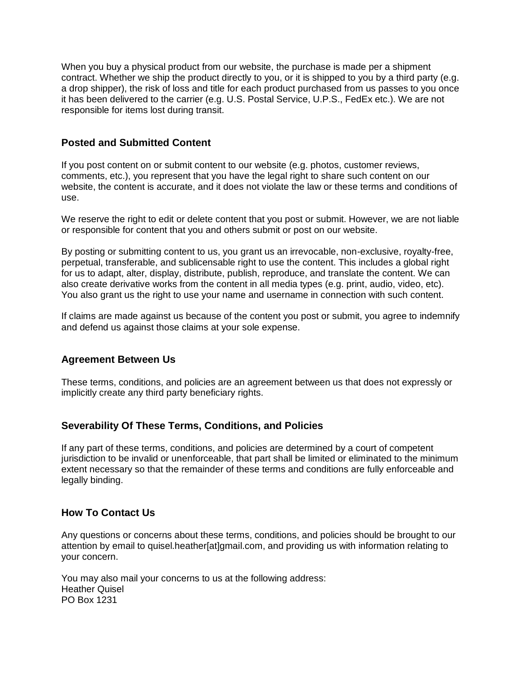When you buy a physical product from our website, the purchase is made per a shipment contract. Whether we ship the product directly to you, or it is shipped to you by a third party (e.g. a drop shipper), the risk of loss and title for each product purchased from us passes to you once it has been delivered to the carrier (e.g. U.S. Postal Service, U.P.S., FedEx etc.). We are not responsible for items lost during transit.

### **Posted and Submitted Content**

If you post content on or submit content to our website (e.g. photos, customer reviews, comments, etc.), you represent that you have the legal right to share such content on our website, the content is accurate, and it does not violate the law or these terms and conditions of use.

We reserve the right to edit or delete content that you post or submit. However, we are not liable or responsible for content that you and others submit or post on our website.

By posting or submitting content to us, you grant us an irrevocable, non-exclusive, royalty-free, perpetual, transferable, and sublicensable right to use the content. This includes a global right for us to adapt, alter, display, distribute, publish, reproduce, and translate the content. We can also create derivative works from the content in all media types (e.g. print, audio, video, etc). You also grant us the right to use your name and username in connection with such content.

If claims are made against us because of the content you post or submit, you agree to indemnify and defend us against those claims at your sole expense.

#### **Agreement Between Us**

These terms, conditions, and policies are an agreement between us that does not expressly or implicitly create any third party beneficiary rights.

#### **Severability Of These Terms, Conditions, and Policies**

If any part of these terms, conditions, and policies are determined by a court of competent jurisdiction to be invalid or unenforceable, that part shall be limited or eliminated to the minimum extent necessary so that the remainder of these terms and conditions are fully enforceable and legally binding.

#### **How To Contact Us**

Any questions or concerns about these terms, conditions, and policies should be brought to our attention by email to quisel.heather[at]gmail.com, and providing us with information relating to your concern.

You may also mail your concerns to us at the following address: Heather Quisel PO Box 1231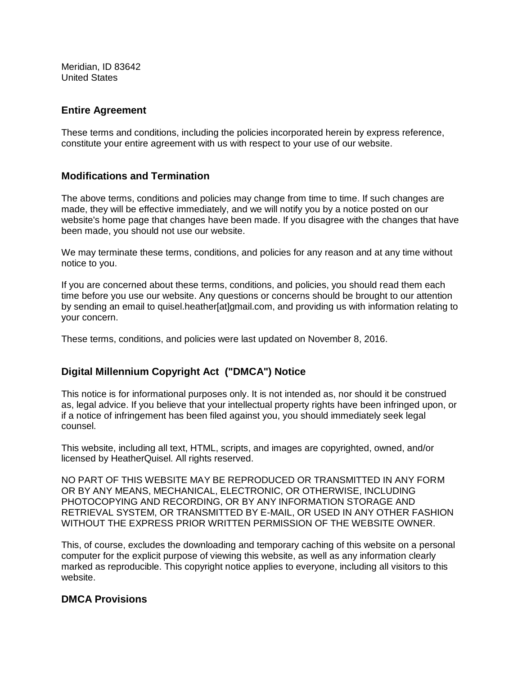Meridian, ID 83642 United States

#### **Entire Agreement**

These terms and conditions, including the policies incorporated herein by express reference, constitute your entire agreement with us with respect to your use of our website.

### **Modifications and Termination**

The above terms, conditions and policies may change from time to time. If such changes are made, they will be effective immediately, and we will notify you by a notice posted on our website's home page that changes have been made. If you disagree with the changes that have been made, you should not use our website.

We may terminate these terms, conditions, and policies for any reason and at any time without notice to you.

If you are concerned about these terms, conditions, and policies, you should read them each time before you use our website. Any questions or concerns should be brought to our attention by sending an email to quisel.heather[at]gmail.com, and providing us with information relating to your concern.

These terms, conditions, and policies were last updated on November 8, 2016.

# **Digital Millennium Copyright Act ("DMCA") Notice**

This notice is for informational purposes only. It is not intended as, nor should it be construed as, legal advice. If you believe that your intellectual property rights have been infringed upon, or if a notice of infringement has been filed against you, you should immediately seek legal counsel.

This website, including all text, HTML, scripts, and images are copyrighted, owned, and/or licensed by HeatherQuisel. All rights reserved.

NO PART OF THIS WEBSITE MAY BE REPRODUCED OR TRANSMITTED IN ANY FORM OR BY ANY MEANS, MECHANICAL, ELECTRONIC, OR OTHERWISE, INCLUDING PHOTOCOPYING AND RECORDING, OR BY ANY INFORMATION STORAGE AND RETRIEVAL SYSTEM, OR TRANSMITTED BY E-MAIL, OR USED IN ANY OTHER FASHION WITHOUT THE EXPRESS PRIOR WRITTEN PERMISSION OF THE WEBSITE OWNER.

This, of course, excludes the downloading and temporary caching of this website on a personal computer for the explicit purpose of viewing this website, as well as any information clearly marked as reproducible. This copyright notice applies to everyone, including all visitors to this website.

#### **DMCA Provisions**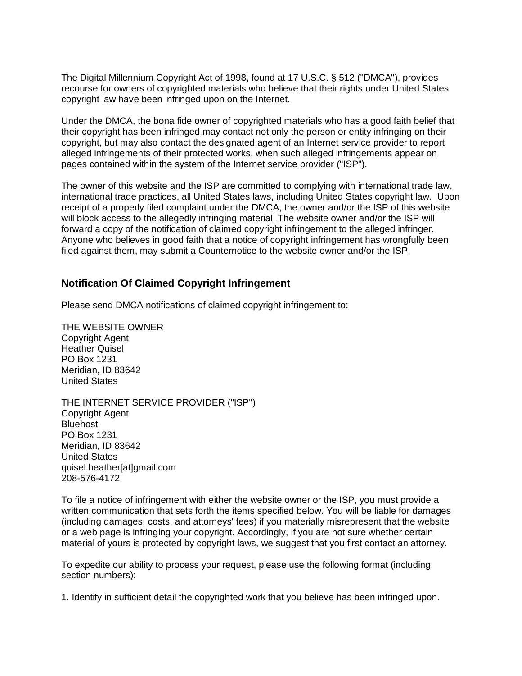The Digital Millennium Copyright Act of 1998, found at 17 U.S.C. § 512 ("DMCA"), provides recourse for owners of copyrighted materials who believe that their rights under United States copyright law have been infringed upon on the Internet.

Under the DMCA, the bona fide owner of copyrighted materials who has a good faith belief that their copyright has been infringed may contact not only the person or entity infringing on their copyright, but may also contact the designated agent of an Internet service provider to report alleged infringements of their protected works, when such alleged infringements appear on pages contained within the system of the Internet service provider ("ISP").

The owner of this website and the ISP are committed to complying with international trade law, international trade practices, all United States laws, including United States copyright law. Upon receipt of a properly filed complaint under the DMCA, the owner and/or the ISP of this website will block access to the allegedly infringing material. The website owner and/or the ISP will forward a copy of the notification of claimed copyright infringement to the alleged infringer. Anyone who believes in good faith that a notice of copyright infringement has wrongfully been filed against them, may submit a Counternotice to the website owner and/or the ISP.

### **Notification Of Claimed Copyright Infringement**

Please send DMCA notifications of claimed copyright infringement to:

THE WEBSITE OWNER Copyright Agent Heather Quisel PO Box 1231 Meridian, ID 83642 United States

THE INTERNET SERVICE PROVIDER ("ISP") Copyright Agent **Bluehost** PO Box 1231 Meridian, ID 83642 United States quisel.heather[at]gmail.com [208-576-4172](tel:(208)%20576-4172)

To file a notice of infringement with either the website owner or the ISP, you must provide a written communication that sets forth the items specified below. You will be liable for damages (including damages, costs, and attorneys' fees) if you materially misrepresent that the website or a web page is infringing your copyright. Accordingly, if you are not sure whether certain material of yours is protected by copyright laws, we suggest that you first contact an attorney.

To expedite our ability to process your request, please use the following format (including section numbers):

1. Identify in sufficient detail the copyrighted work that you believe has been infringed upon.